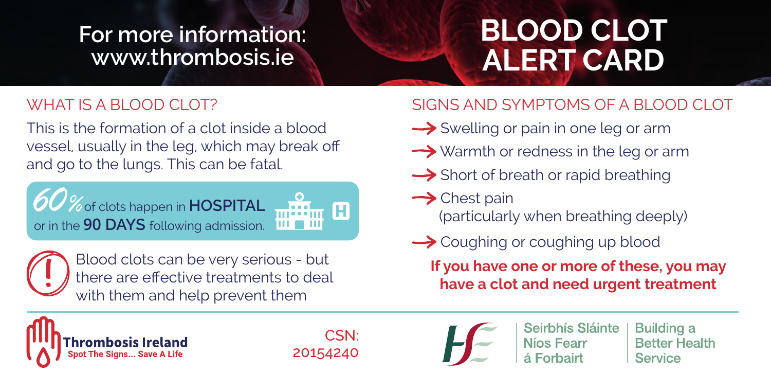## **For more information: www.thrombosis.ie**

## **BLOOD CLOT ALERT CARD**

## WHAT IS A BLOOD CLOT?

This is the formation of a clot inside a blood vessel, usually in the leg, which may break off and go to the lungs. This can be fatal.





Blood clots can be very serious - but there are effective treatments to deal with them and help prevent them

## SIGNS AND SYMPTOMS OF A BLOOD CLOT

- Swelling or pain in one leg or arm
- $\rightarrow$  Warmth or redness in the leg or arm
- **→** Short of breath or rapid breathing
- $\rightarrow$  Chest pain (particularly when breathing deeply)
- **→** Coughing or coughing up blood

**If you have one or more of these, you may have a clot and need urgent treatment**



CSN: 20154240



Seirbhís Sláinte Níos Fearr

**Building a Better Health** Service